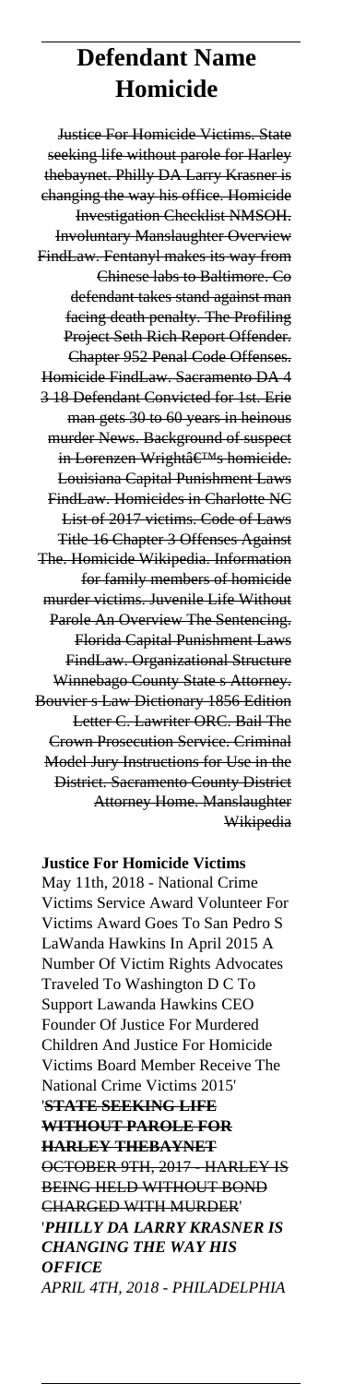# **Defendant Name Homicide**

Justice For Homicide Victims. State seeking life without parole for Harley thebaynet. Philly DA Larry Krasner is changing the way his office. Homicide Investigation Checklist NMSOH. Involuntary Manslaughter Overview FindLaw. Fentanyl makes its way from Chinese labs to Baltimore. Co defendant takes stand against man facing death penalty. The Profiling Project Seth Rich Report Offender. Chapter 952 Penal Code Offenses. Homicide FindLaw. Sacramento DA 4 3 18 Defendant Convicted for 1st. Erie man gets 30 to 60 years in heinous murder News. Background of suspect in Lorenzen Wrightâ ETM<sub>s</sub> homicide. Louisiana Capital Punishment Laws FindLaw. Homicides in Charlotte NC List of 2017 victims. Code of Laws Title 16 Chapter 3 Offenses Against The. Homicide Wikipedia. Information for family members of homicide murder victims. Juvenile Life Without Parole An Overview The Sentencing. Florida Capital Punishment Laws FindLaw. Organizational Structure Winnebago County State s Attorney. Bouvier s Law Dictionary 1856 Edition Letter C. Lawriter ORC. Bail The Crown Prosecution Service. Criminal Model Jury Instructions for Use in the District. Sacramento County District Attorney Home. Manslaughter Wikipedia

**Justice For Homicide Victims** May 11th, 2018 - National Crime Victims Service Award Volunteer For Victims Award Goes To San Pedro S LaWanda Hawkins In April 2015 A Number Of Victim Rights Advocates Traveled To Washington D C To Support Lawanda Hawkins CEO Founder Of Justice For Murdered Children And Justice For Homicide Victims Board Member Receive The National Crime Victims 2015' '**STATE SEEKING LIFE WITHOUT PAROLE FOR HARLEY THEBAYNET** OCTOBER 9TH, 2017 - HARLEY IS BEING HELD WITHOUT BOND CHARGED WITH MURDER' '*PHILLY DA LARRY KRASNER IS CHANGING THE WAY HIS OFFICE APRIL 4TH, 2018 - PHILADELPHIA*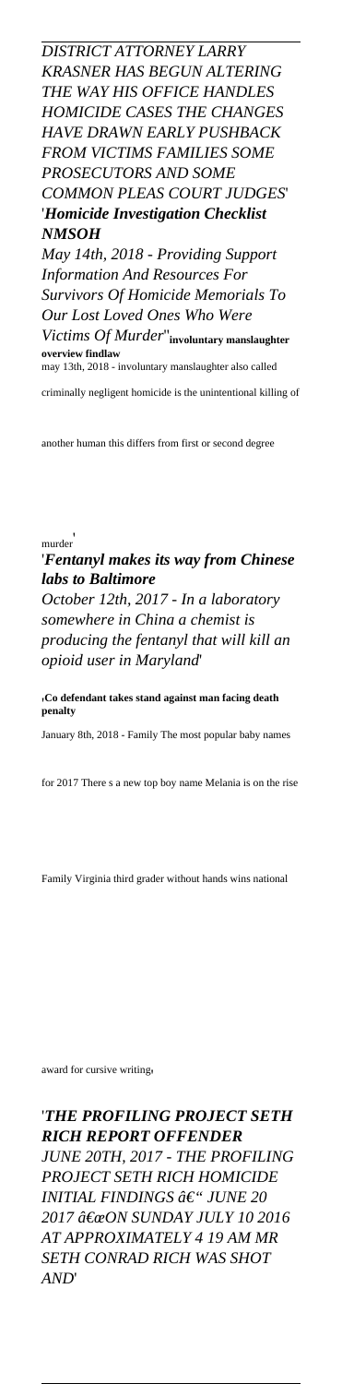*DISTRICT ATTORNEY LARRY KRASNER HAS BEGUN ALTERING THE WAY HIS OFFICE HANDLES HOMICIDE CASES THE CHANGES HAVE DRAWN EARLY PUSHBACK FROM VICTIMS FAMILIES SOME PROSECUTORS AND SOME COMMON PLEAS COURT JUDGES*' '*Homicide Investigation Checklist NMSOH May 14th, 2018 - Providing Support Information And Resources For Survivors Of Homicide Memorials To Our Lost Loved Ones Who Were*

*Victims Of Murder*''**involuntary manslaughter overview findla** may 13th, 2018 - involuntary manslaughter also called

criminally negligent homicide is the unintentional killing of

another human this differs from first or second degree

# murder'

### '*Fentanyl makes its way from Chinese labs to Baltimore*

*October 12th, 2017 - In a laboratory somewhere in China a chemist is producing the fentanyl that will kill an opioid user in Maryland*'

'**Co defendant takes stand against man facing death penalty**

January 8th, 2018 - Family The most popular baby names

for 2017 There s a new top boy name Melania is on the rise

Family Virginia third grader without hands wins national

award for cursive writing'

'*THE PROFILING PROJECT SETH RICH REPORT OFFENDER JUNE 20TH, 2017 - THE PROFILING PROJECT SETH RICH HOMICIDE INITIAL FINDINGS â€*" *JUNE 20* 2017 "ON SUNDAY JULY 10 2016 *AT APPROXIMATELY 4 19 AM MR SETH CONRAD RICH WAS SHOT AND*'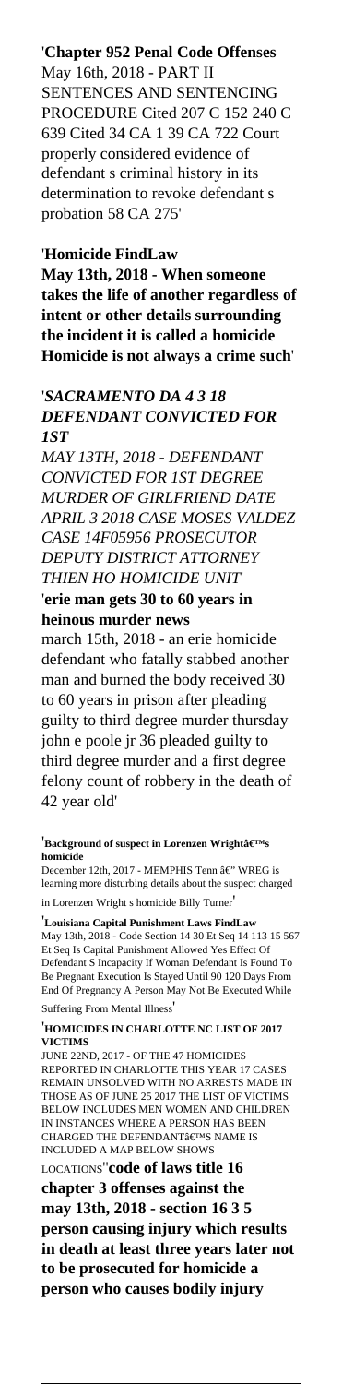## '**Chapter 952 Penal Code Offenses** May 16th, 2018 - PART II SENTENCES AND SENTENCING PROCEDURE Cited 207 C 152 240 C 639 Cited 34 CA 1 39 CA 722 Court properly considered evidence of defendant s criminal history in its determination to revoke defendant s probation 58 CA 275'

### '**Homicide FindLaw**

**May 13th, 2018 - When someone takes the life of another regardless of intent or other details surrounding the incident it is called a homicide Homicide is not always a crime such**'

### '*SACRAMENTO DA 4 3 18 DEFENDANT CONVICTED FOR 1ST*

*MAY 13TH, 2018 - DEFENDANT CONVICTED FOR 1ST DEGREE MURDER OF GIRLFRIEND DATE APRIL 3 2018 CASE MOSES VALDEZ CASE 14F05956 PROSECUTOR DEPUTY DISTRICT ATTORNEY THIEN HO HOMICIDE UNIT*' '**erie man gets 30 to 60 years in heinous murder news**

march 15th, 2018 - an erie homicide defendant who fatally stabbed another man and burned the body received 30 to 60 years in prison after pleading guilty to third degree murder thursday john e poole jr 36 pleaded guilty to third degree murder and a first degree felony count of robbery in the death of 42 year old'

#### <sup>'</sup>Background of suspect in Lorenzen Wright's **homicide**

December 12th, 2017 - MEMPHIS Tenn $\hat{\mathrm{a}}\mathcal{\in}$  " WREG is learning more disturbing details about the suspect charged in Lorenzen Wright s homicide Billy Turner'

'**Louisiana Capital Punishment Laws FindLaw** May 13th, 2018 - Code Section 14 30 Et Seq 14 113 15 567 Et Seq Is Capital Punishment Allowed Yes Effect Of Defendant S Incapacity If Woman Defendant Is Found To Be Pregnant Execution Is Stayed Until 90 120 Days From End Of Pregnancy A Person May Not Be Executed While Suffering From Mental Illness'

#### '**HOMICIDES IN CHARLOTTE NC LIST OF 2017 VICTIMS**

JUNE 22ND, 2017 - OF THE 47 HOMICIDES REPORTED IN CHARLOTTE THIS YEAR 17 CASES REMAIN UNSOLVED WITH NO ARRESTS MADE IN THOSE AS OF JUNE 25 2017 THE LIST OF VICTIMS BELOW INCLUDES MEN WOMEN AND CHILDREN IN INSTANCES WHERE A PERSON HAS BEEN CHARGED THE DEFENDANT  $\hat{\mathbf{a}} \in \mathbb{M}$  NAME IS INCLUDED A MAP BELOW SHOWS LOCATIONS''**code of laws title 16 chapter 3 offenses against the may 13th, 2018 - section 16 3 5 person causing injury which results in death at least three years later not to be prosecuted for homicide a person who causes bodily injury**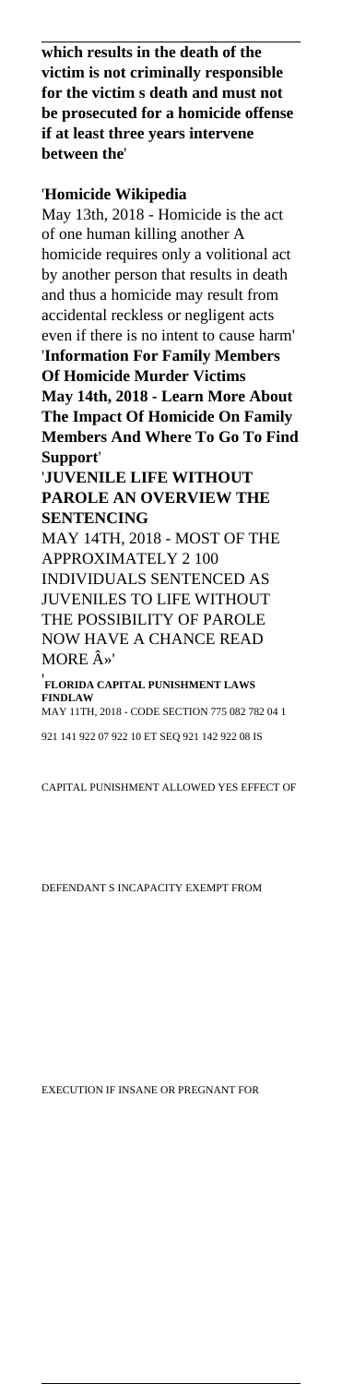**which results in the death of the victim is not criminally responsible for the victim s death and must not be prosecuted for a homicide offense if at least three years intervene between the**'

### '**Homicide Wikipedia**

May 13th, 2018 - Homicide is the act of one human killing another A homicide requires only a volitional act by another person that results in death and thus a homicide may result from accidental reckless or negligent acts even if there is no intent to cause harm' '**Information For Family Members Of Homicide Murder Victims May 14th, 2018 - Learn More About The Impact Of Homicide On Family Members And Where To Go To Find Support**'

'**JUVENILE LIFE WITHOUT PAROLE AN OVERVIEW THE SENTENCING**

MAY 14TH, 2018 - MOST OF THE APPROXIMATELY 2 100

INDIVIDUALS SENTENCED AS JUVENILES TO LIFE WITHOUT THE POSSIBILITY OF PAROLE NOW HAVE A CHANCE READ MORE  $\hat{A}$ <sup>y</sup>

'**FLORIDA CAPITAL PUNISHMENT LAWS FINDLAW** MAY 11TH, 2018 - CODE SECTION 775 082 782 04 1

921 141 922 07 922 10 ET SEQ 921 142 922 08 IS

CAPITAL PUNISHMENT ALLOWED YES EFFECT OF

DEFENDANT S INCAPACITY EXEMPT FROM

EXECUTION IF INSANE OR PREGNANT FOR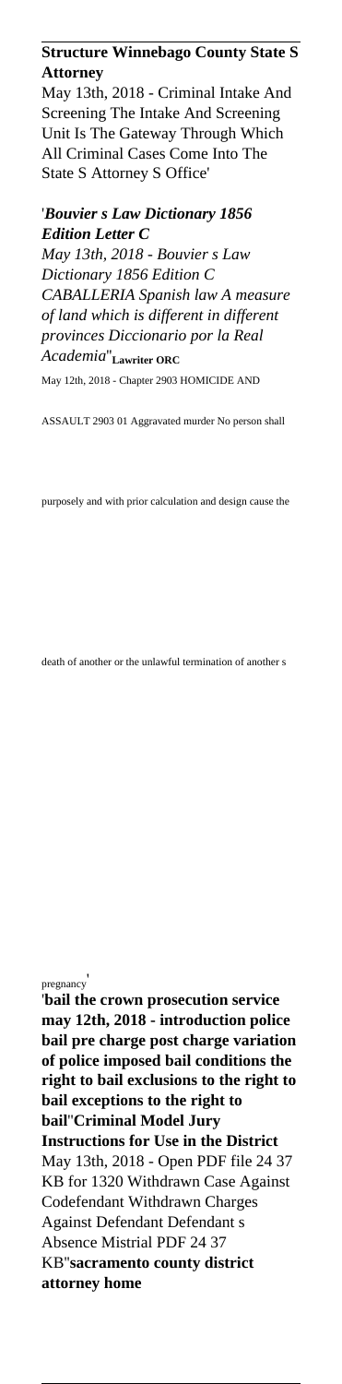# **Structure Winnebago County State S Attorney**

May 13th, 2018 - Criminal Intake And Screening The Intake And Screening Unit Is The Gateway Through Which All Criminal Cases Come Into The State S Attorney S Office'

### '*Bouvier s Law Dictionary 1856 Edition Letter C*

*May 13th, 2018 - Bouvier s Law Dictionary 1856 Edition C CABALLERIA Spanish law A measure of land which is different in different provinces Diccionario por la Real Academia*''**Lawriter ORC** May 12th, 2018 - Chapter 2903 HOMICIDE AND

ASSAULT 2903 01 Aggravated murder No person shall

purposely and with prior calculation and design cause the

death of another or the unlawful termination of another s

pregnancy<sup>'</sup>

'**bail the crown prosecution service may 12th, 2018 - introduction police bail pre charge post charge variation of police imposed bail conditions the right to bail exclusions to the right to bail exceptions to the right to bail**''**Criminal Model Jury Instructions for Use in the District** May 13th, 2018 - Open PDF file 24 37 KB for 1320 Withdrawn Case Against Codefendant Withdrawn Charges Against Defendant Defendant s Absence Mistrial PDF 24 37 KB''**sacramento county district attorney home**